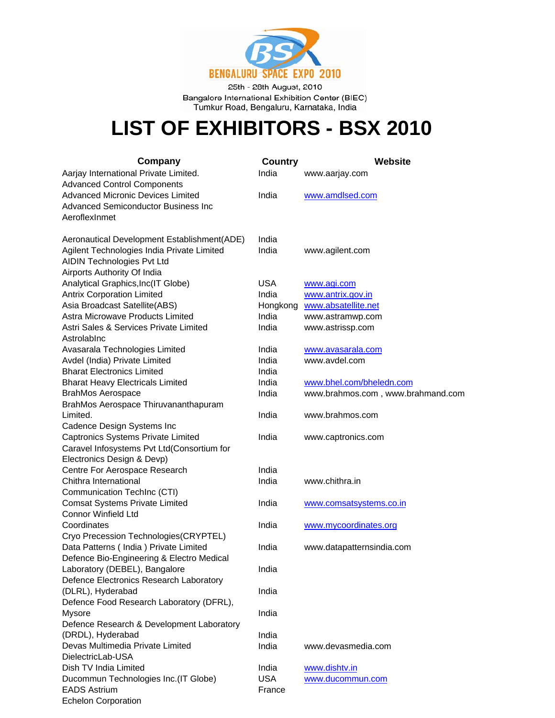

25th - 28th August, 2010 Bangalore International Exhibition Center (BIEC) Tumkur Road, Bengaluru, Karnataka, India

## **LIST OF EXHIBITORS - BSX 2010**

| Company                                     | <b>Country</b> | Website                           |
|---------------------------------------------|----------------|-----------------------------------|
| Aarjay International Private Limited.       | India          | www.aarjay.com                    |
| <b>Advanced Control Components</b>          |                |                                   |
| <b>Advanced Micronic Devices Limited</b>    | India          | www.amdlsed.com                   |
| <b>Advanced Semiconductor Business Inc.</b> |                |                                   |
| AeroflexInmet                               |                |                                   |
| Aeronautical Development Establishment(ADE) | India          |                                   |
| Agilent Technologies India Private Limited  | India          | www.agilent.com                   |
| AIDIN Technologies Pvt Ltd                  |                |                                   |
| Airports Authority Of India                 |                |                                   |
| Analytical Graphics, Inc(IT Globe)          | <b>USA</b>     | www.agi.com                       |
| <b>Antrix Corporation Limited</b>           | India          | www.antrix.gov.in                 |
| Asia Broadcast Satellite(ABS)               | Hongkong       | www.absatellite.net               |
| Astra Microwave Products Limited            | India          | www.astramwp.com                  |
| Astri Sales & Services Private Limited      | India          | www.astrissp.com                  |
| Astrolabinc                                 |                |                                   |
| Avasarala Technologies Limited              | India          | www.avasarala.com                 |
| Avdel (India) Private Limited               | India          | www.avdel.com                     |
| <b>Bharat Electronics Limited</b>           | India          |                                   |
| <b>Bharat Heavy Electricals Limited</b>     | India          | www.bhel.com/bheledn.com          |
| <b>BrahMos Aerospace</b>                    | India          | www.brahmos.com, www.brahmand.com |
| BrahMos Aerospace Thiruvananthapuram        |                |                                   |
| Limited.                                    | India          | www.brahmos.com                   |
| Cadence Design Systems Inc                  |                |                                   |
| <b>Captronics Systems Private Limited</b>   | India          | www.captronics.com                |
| Caravel Infosystems Pvt Ltd(Consortium for  |                |                                   |
| Electronics Design & Devp)                  |                |                                   |
| Centre For Aerospace Research               | India          |                                   |
| Chithra International                       | India          | www.chithra.in                    |
| Communication TechInc (CTI)                 |                |                                   |
| <b>Comsat Systems Private Limited</b>       | India          | www.comsatsystems.co.in           |
| <b>Connor Winfield Ltd</b><br>Coordinates   | India          | www.mycoordinates.org             |
| Cryo Precession Technologies(CRYPTEL)       |                |                                   |
| Data Patterns (India) Private Limited       | India          | www.datapatternsindia.com         |
| Defence Bio-Engineering & Electro Medical   |                |                                   |
| Laboratory (DEBEL), Bangalore               | India          |                                   |
| Defence Electronics Research Laboratory     |                |                                   |
| (DLRL), Hyderabad                           | India          |                                   |
| Defence Food Research Laboratory (DFRL),    |                |                                   |
| Mysore                                      | India          |                                   |
| Defence Research & Development Laboratory   |                |                                   |
| (DRDL), Hyderabad                           | India          |                                   |
| Devas Multimedia Private Limited            | India          | www.devasmedia.com                |
| DielectricLab-USA                           |                |                                   |
| Dish TV India Limited                       | India          | www.dishtv.in                     |
| Ducommun Technologies Inc.(IT Globe)        | <b>USA</b>     | www.ducommun.com                  |
| <b>EADS Astrium</b>                         | France         |                                   |
| <b>Echelon Corporation</b>                  |                |                                   |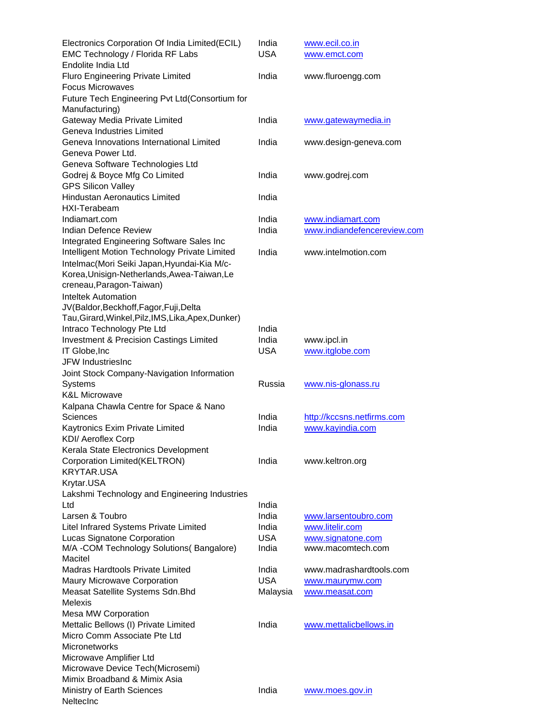| Electronics Corporation Of India Limited(ECIL)<br>EMC Technology / Florida RF Labs<br>Endolite India Ltd | India<br><b>USA</b> | www.ecil.co.in<br>www.emct.com                   |
|----------------------------------------------------------------------------------------------------------|---------------------|--------------------------------------------------|
| Fluro Engineering Private Limited<br><b>Focus Microwaves</b>                                             | India               | www.fluroengg.com                                |
| Future Tech Engineering Pvt Ltd(Consortium for<br>Manufacturing)                                         |                     |                                                  |
| Gateway Media Private Limited<br>Geneva Industries Limited                                               | India               | www.gatewaymedia.in                              |
| Geneva Innovations International Limited<br>Geneva Power Ltd.                                            | India               | www.design-geneva.com                            |
| Geneva Software Technologies Ltd                                                                         |                     |                                                  |
| Godrej & Boyce Mfg Co Limited<br><b>GPS Silicon Valley</b>                                               | India               | www.godrej.com                                   |
| <b>Hindustan Aeronautics Limited</b>                                                                     | India               |                                                  |
| HXI-Terabeam<br>Indiamart.com                                                                            | India               |                                                  |
| <b>Indian Defence Review</b>                                                                             | India               | www.indiamart.com<br>www.indiandefencereview.com |
| Integrated Engineering Software Sales Inc                                                                |                     |                                                  |
| Intelligent Motion Technology Private Limited                                                            | India               | www.intelmotion.com                              |
| Intelmac(Mori Seiki Japan, Hyundai-Kia M/c-<br>Korea, Unisign-Netherlands, Awea-Taiwan, Le               |                     |                                                  |
| creneau, Paragon-Taiwan)                                                                                 |                     |                                                  |
| <b>Inteltek Automation</b>                                                                               |                     |                                                  |
| JV(Baldor, Beckhoff, Fagor, Fuji, Delta                                                                  |                     |                                                  |
| Tau, Girard, Winkel, Pilz, IMS, Lika, Apex, Dunker)                                                      |                     |                                                  |
| Intraco Technology Pte Ltd                                                                               | India               |                                                  |
| Investment & Precision Castings Limited                                                                  | India               | www.ipcl.in                                      |
| IT Globe, Inc.                                                                                           | <b>USA</b>          | www.itglobe.com                                  |
| JFW IndustriesInc                                                                                        |                     |                                                  |
| Joint Stock Company-Navigation Information                                                               |                     |                                                  |
| <b>Systems</b>                                                                                           | Russia              | www.nis-glonass.ru                               |
| <b>K&amp;L Microwave</b>                                                                                 |                     |                                                  |
| Kalpana Chawla Centre for Space & Nano<br><b>Sciences</b>                                                | India               | http://kccsns.netfirms.com                       |
| Kaytronics Exim Private Limited                                                                          | India               | www.kayindia.com                                 |
| KDI/ Aeroflex Corp                                                                                       |                     |                                                  |
| Kerala State Electronics Development                                                                     |                     |                                                  |
| Corporation Limited(KELTRON)                                                                             | India               | www.keltron.org                                  |
| <b>KRYTAR.USA</b>                                                                                        |                     |                                                  |
| Krytar.USA                                                                                               |                     |                                                  |
| Lakshmi Technology and Engineering Industries                                                            |                     |                                                  |
| Ltd                                                                                                      | India               |                                                  |
| Larsen & Toubro                                                                                          | India               | www.larsentoubro.com                             |
| Litel Infrared Systems Private Limited                                                                   | India               | www.litelir.com                                  |
| Lucas Signatone Corporation                                                                              | <b>USA</b>          | www.signatone.com                                |
| M/A -COM Technology Solutions(Bangalore)                                                                 | India               | www.macomtech.com                                |
| Macitel                                                                                                  |                     |                                                  |
| <b>Madras Hardtools Private Limited</b>                                                                  | India               | www.madrashardtools.com                          |
| Maury Microwave Corporation                                                                              | <b>USA</b>          | www.maurymw.com                                  |
| Measat Satellite Systems Sdn. Bhd                                                                        | Malaysia            | www.measat.com                                   |
| Melexis                                                                                                  |                     |                                                  |
| Mesa MW Corporation<br>Mettalic Bellows (I) Private Limited                                              | India               |                                                  |
| Micro Comm Associate Pte Ltd                                                                             |                     | www.mettalicbellows.in                           |
| Micronetworks                                                                                            |                     |                                                  |
| Microwave Amplifier Ltd                                                                                  |                     |                                                  |
| Microwave Device Tech(Microsemi)                                                                         |                     |                                                  |
| Mimix Broadband & Mimix Asia                                                                             |                     |                                                  |
| Ministry of Earth Sciences                                                                               | India               | www.moes.gov.in                                  |
| NeltecInc                                                                                                |                     |                                                  |